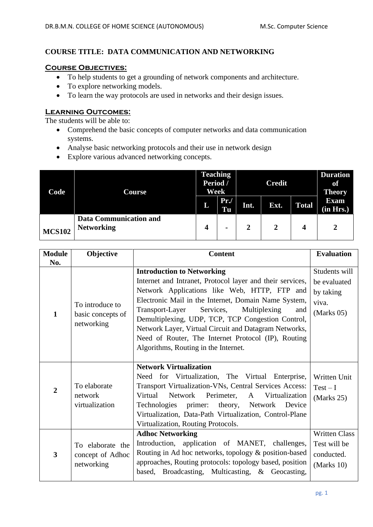### **COURSE TITLE: DATA COMMUNICATION AND NETWORKING**

#### **Course Objectives:**

- To help students to get a grounding of network components and architecture.
- To explore networking models.
- To learn the way protocols are used in networks and their design issues.

### **Learning Outcomes:**

The students will be able to:

- Comprehend the basic concepts of computer networks and data communication systems.
- Analyse basic networking protocols and their use in network design
- Explore various advanced networking concepts.

| Code          | Course                                             | <b>Teaching</b><br>Period /<br>Week |                | <b>Credit</b> |      |              | <b>Duration</b><br>of<br><b>Theory</b> |
|---------------|----------------------------------------------------|-------------------------------------|----------------|---------------|------|--------------|----------------------------------------|
|               |                                                    | L                                   | Pr.<br>Tu      | Int.          | Ext. | <b>Total</b> | <b>Exam</b><br>(in Hrs.)               |
| <b>MCS102</b> | <b>Data Communication and</b><br><b>Networking</b> | 4                                   | $\blacksquare$ |               | 2    | 4            | 2                                      |

| <b>Module</b>           | Objective                                          | <b>Content</b>                                                                                                                                                                                                                                                                                                                                                                                                                                                          | <b>Evaluation</b>                                                   |
|-------------------------|----------------------------------------------------|-------------------------------------------------------------------------------------------------------------------------------------------------------------------------------------------------------------------------------------------------------------------------------------------------------------------------------------------------------------------------------------------------------------------------------------------------------------------------|---------------------------------------------------------------------|
| No.                     |                                                    |                                                                                                                                                                                                                                                                                                                                                                                                                                                                         | Students will                                                       |
| $\mathbf{1}$            | To introduce to<br>basic concepts of<br>networking | <b>Introduction to Networking</b><br>Internet and Intranet, Protocol layer and their services,<br>Network Applications like Web, HTTP, FTP and<br>Electronic Mail in the Internet, Domain Name System,<br>Transport-Layer Services,<br>Multiplexing<br>and<br>Demultiplexing, UDP, TCP, TCP Congestion Control,<br>Network Layer, Virtual Circuit and Datagram Networks,<br>Need of Router, The Internet Protocol (IP), Routing<br>Algorithms, Routing in the Internet. | be evaluated<br>by taking<br>viva.<br>(Marks 05)                    |
| $\overline{2}$          | To elaborate<br>network<br>virtualization          | <b>Network Virtualization</b><br>Need for Virtualization, The Virtual Enterprise,<br>Transport Virtualization-VNs, Central Services Access:<br>Virtual<br>Network Perimeter,<br>A Virtualization<br>Technologies primer:<br>theory, Network Device<br>Virtualization, Data-Path Virtualization, Control-Plane<br>Virtualization, Routing Protocols.                                                                                                                     | Written Unit<br>$Test - I$<br>(Marks 25)                            |
| $\overline{\mathbf{3}}$ | To elaborate the<br>concept of Adhoc<br>networking | <b>Adhoc Networking</b><br>Introduction, application of MANET, challenges,<br>Routing in Ad hoc networks, topology & position-based<br>approaches, Routing protocols: topology based, position<br>based, Broadcasting, Multicasting, & Geocasting,                                                                                                                                                                                                                      | <b>Written Class</b><br>Test will be<br>conducted.<br>(Marks $10$ ) |